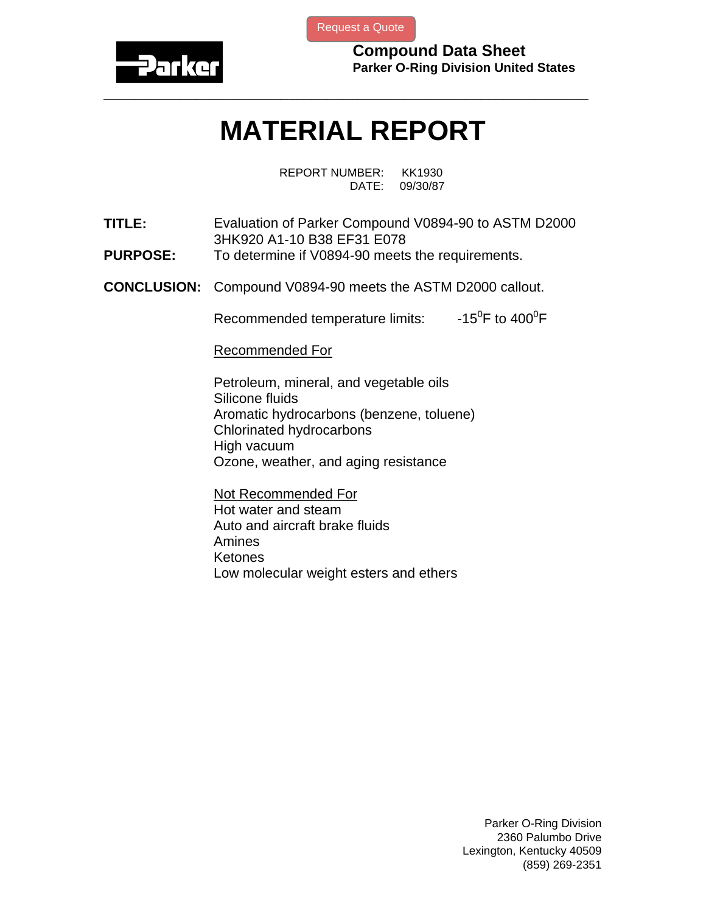

[Request a Quote](http://www.marcorubber.com/contact_quote.htm?material=Parker+V0894-90)

**Compound Data Sheet Parker O-Ring Division United States** 

## **MATERIAL REPORT**

**\_\_\_\_\_\_\_\_\_\_\_\_\_\_\_\_\_\_\_\_\_\_\_\_\_\_\_\_\_\_\_\_\_\_\_\_\_\_\_\_\_\_\_\_\_\_\_\_\_\_\_\_\_\_\_\_\_\_\_\_\_\_\_** 

REPORT NUMBER: KK1930 DATE: 09/30/87

**TITLE:** Evaluation of Parker Compound V0894-90 to ASTM D2000 3HK920 A1-10 B38 EF31 E078

- **PURPOSE:** To determine if V0894-90 meets the requirements.
- **CONCLUSION:** Compound V0894-90 meets the ASTM D2000 callout.

Recommended temperature limits: F to  $400^0$ F

Recommended For

Petroleum, mineral, and vegetable oils Silicone fluids Aromatic hydrocarbons (benzene, toluene) Chlorinated hydrocarbons High vacuum Ozone, weather, and aging resistance

Not Recommended For Hot water and steam Auto and aircraft brake fluids Amines Ketones Low molecular weight esters and ethers

> Parker O-Ring Division 2360 Palumbo Drive Lexington, Kentucky 40509 (859) 269-2351